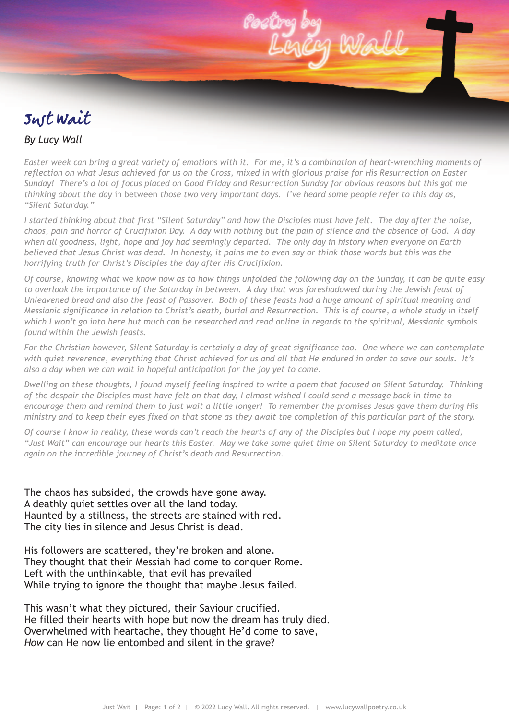# Just Wait

## *By Lucy Wall*

*Easter week can bring a great variety of emotions with it. For me, it's a combination of heart-wrenching moments of reflection on what Jesus achieved for us on the Cross, mixed in with glorious praise for His Resurrection on Easter Sunday! There's a lot of focus placed on Good Friday and Resurrection Sunday for obvious reasons but this got me thinking about the day* in between *those two very important days. I've heard some people refer to this day as, "Silent Saturday."* 

*I started thinking about that first "Silent Saturday" and how the Disciples must have felt. The day after the noise, chaos, pain and horror of Crucifixion Day. A day with nothing but the pain of silence and the absence of God. A day when all goodness, light, hope and joy had seemingly departed. The only day in history when everyone on Earth believed that Jesus Christ was dead. In honesty, it pains me to even say or think those words but this was the horrifying truth for Christ's Disciples the day after His Crucifixion.* 

*Of course, knowing what* we *know now as to how things unfolded the following day on the Sunday, it can be quite easy to overlook the importance of the Saturday in between. A day that was foreshadowed during the Jewish feast of Unleavened bread and also the feast of Passover. Both of these feasts had a huge amount of spiritual meaning and Messianic significance in relation to Christ's death, burial and Resurrection. This is of course, a whole study in itself which I won't go into here but much can be researched and read online in regards to the spiritual, Messianic symbols found within the Jewish feasts.* 

*For the Christian however, Silent Saturday is certainly a day of great significance too. One where we can contemplate with quiet reverence, everything that Christ achieved for us and all that He endured in order to save our souls. It's also a day when we can wait in hopeful anticipation for the joy yet to come.* 

*Dwelling on these thoughts, I found myself feeling inspired to write a poem that focused on Silent Saturday. Thinking of the despair the Disciples must have felt on that day, I almost wished I could send a message back in time to encourage them and remind them to just wait a little longer! To remember the promises Jesus gave them during His ministry and to keep their eyes fixed on that stone as they await the completion of this particular part of the story.* 

*Of course I know in reality, these words can't reach the hearts of any of the Disciples but I hope my poem called, "Just Wait" can encourage* our *hearts this Easter. May we take some quiet time on Silent Saturday to meditate once again on the incredible journey of Christ's death and Resurrection.* 

The chaos has subsided, the crowds have gone away. A deathly quiet settles over all the land today. Haunted by a stillness, the streets are stained with red. The city lies in silence and Jesus Christ is dead.

His followers are scattered, they're broken and alone. They thought that their Messiah had come to conquer Rome. Left with the unthinkable, that evil has prevailed While trying to ignore the thought that maybe Jesus failed.

This wasn't what they pictured, their Saviour crucified. He filled their hearts with hope but now the dream has truly died. Overwhelmed with heartache, they thought He'd come to save, *How* can He now lie entombed and silent in the grave?